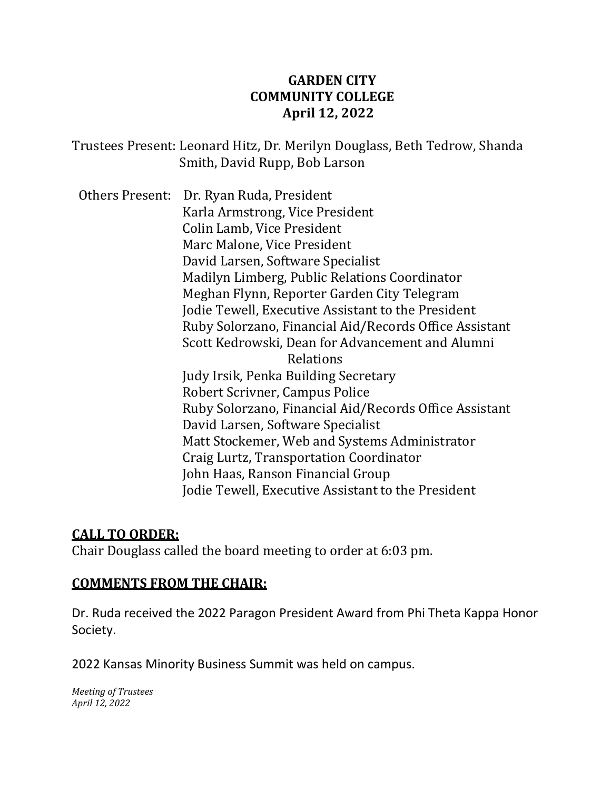## **GARDEN CITY COMMUNITY COLLEGE April 12, 2022**

Trustees Present: Leonard Hitz, Dr. Merilyn Douglass, Beth Tedrow, Shanda Smith, David Rupp, Bob Larson

Others Present: Dr. Ryan Ruda, President Karla Armstrong, Vice President Colin Lamb, Vice President Marc Malone, Vice President David Larsen, Software Specialist Madilyn Limberg, Public Relations Coordinator Meghan Flynn, Reporter Garden City Telegram Jodie Tewell, Executive Assistant to the President Ruby Solorzano, Financial Aid/Records Office Assistant Scott Kedrowski, Dean for Advancement and Alumni Relations Judy Irsik, Penka Building Secretary Robert Scrivner, Campus Police Ruby Solorzano, Financial Aid/Records Office Assistant David Larsen, Software Specialist Matt Stockemer, Web and Systems Administrator Craig Lurtz, Transportation Coordinator John Haas, Ranson Financial Group Jodie Tewell, Executive Assistant to the President

### **CALL TO ORDER:**

Chair Douglass called the board meeting to order at 6:03 pm.

### **COMMENTS FROM THE CHAIR:**

Dr. Ruda received the 2022 Paragon President Award from Phi Theta Kappa Honor Society.

2022 Kansas Minority Business Summit was held on campus.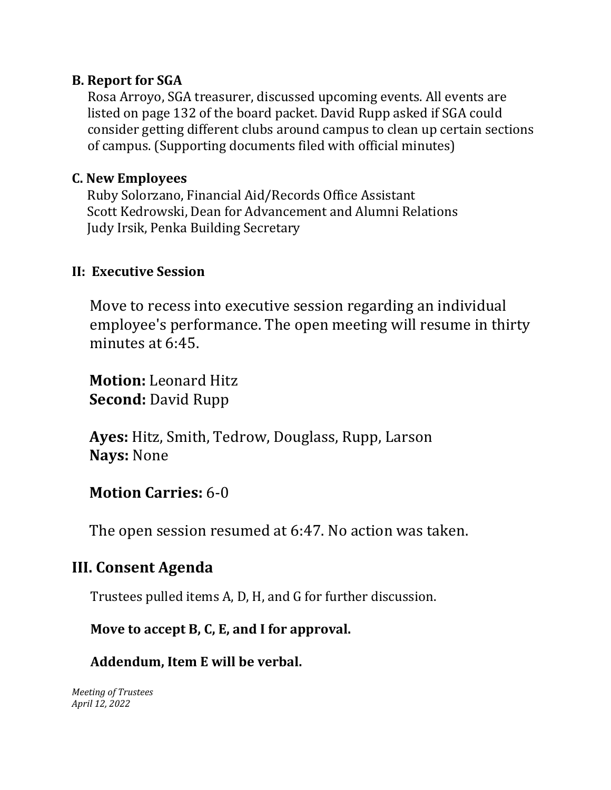## **B. Report for SGA**

Rosa Arroyo, SGA treasurer, discussed upcoming events. All events are listed on page 132 of the board packet. David Rupp asked if SGA could consider getting different clubs around campus to clean up certain sections of campus. (Supporting documents filed with official minutes)

## **C. New Employees**

 Ruby Solorzano, Financial Aid/Records Office Assistant Scott Kedrowski, Dean for Advancement and Alumni Relations Judy Irsik, Penka Building Secretary

## **II: Executive Session**

Move to recess into executive session regarding an individual employee's performance. The open meeting will resume in thirty minutes at 6:45.

 **Motion:** Leonard Hitz  **Second:** David Rupp

 **Ayes:** Hitz, Smith, Tedrow, Douglass, Rupp, Larson  **Nays:** None

## **Motion Carries:** 6-0

The open session resumed at 6:47. No action was taken.

## **III. Consent Agenda**

Trustees pulled items A, D, H, and G for further discussion.

## **Move to accept B, C, E, and I for approval.**

## **Addendum, Item E will be verbal.**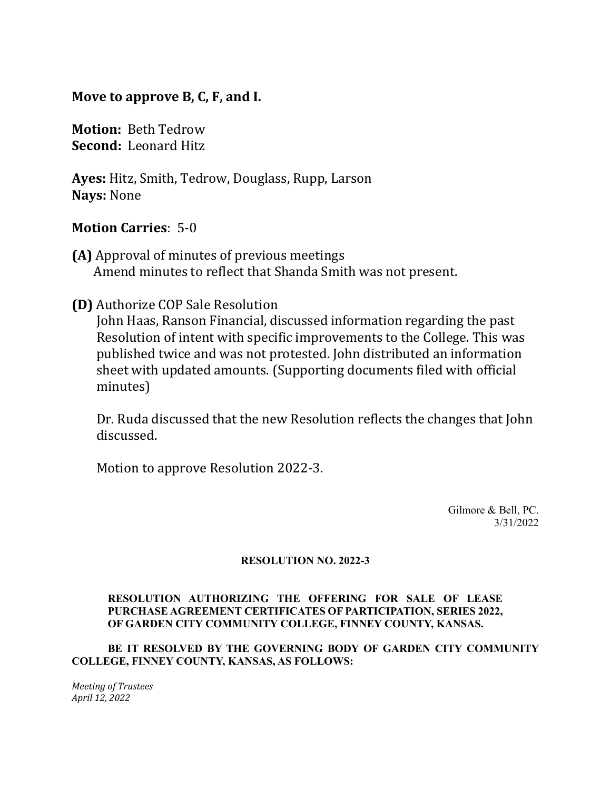### **Move to approve B, C, F, and I.**

**Motion:** Beth Tedrow **Second:** Leonard Hitz

**Ayes:** Hitz, Smith, Tedrow, Douglass, Rupp, Larson **Nays:** None

### **Motion Carries**: 5-0

- **(A)** Approval of minutes of previous meetings Amend minutes to reflect that Shanda Smith was not present.
- **(D)** Authorize COP Sale Resolution

John Haas, Ranson Financial, discussed information regarding the past Resolution of intent with specific improvements to the College. This was published twice and was not protested. John distributed an information sheet with updated amounts. (Supporting documents filed with official minutes)

Dr. Ruda discussed that the new Resolution reflects the changes that John discussed.

Motion to approve Resolution 2022-3.

Gilmore & Bell, PC. 3/31/2022

#### **RESOLUTION NO. 2022-3**

#### **RESOLUTION AUTHORIZING THE OFFERING FOR SALE OF LEASE PURCHASE AGREEMENT CERTIFICATES OF PARTICIPATION, SERIES 2022, OF GARDEN CITY COMMUNITY COLLEGE, FINNEY COUNTY, KANSAS.**

#### **BE IT RESOLVED BY THE GOVERNING BODY OF GARDEN CITY COMMUNITY COLLEGE, FINNEY COUNTY, KANSAS, AS FOLLOWS:**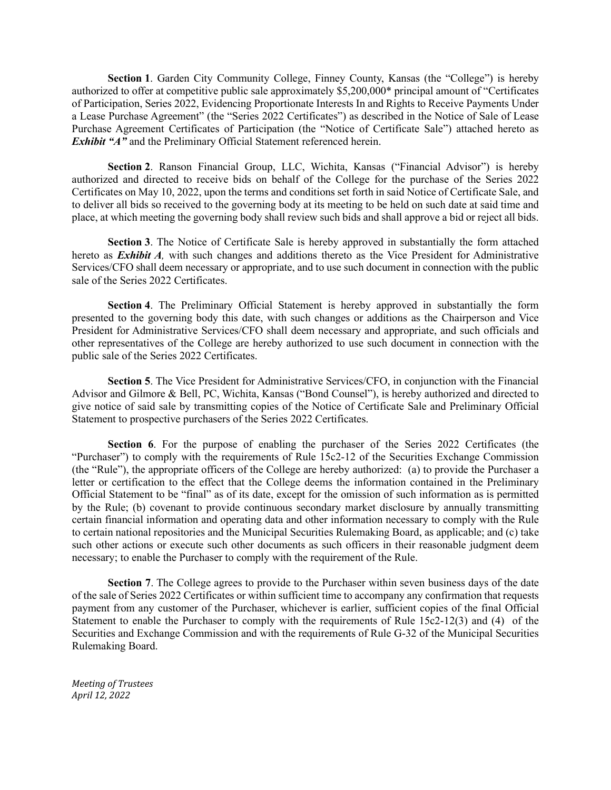**Section 1**. Garden City Community College, Finney County, Kansas (the "College") is hereby authorized to offer at competitive public sale approximately \$5,200,000\* principal amount of "Certificates of Participation, Series 2022, Evidencing Proportionate Interests In and Rights to Receive Payments Under a Lease Purchase Agreement" (the "Series 2022 Certificates") as described in the Notice of Sale of Lease Purchase Agreement Certificates of Participation (the "Notice of Certificate Sale") attached hereto as *Exhibit "A"* and the Preliminary Official Statement referenced herein.

**Section 2**. Ranson Financial Group, LLC, Wichita, Kansas ("Financial Advisor") is hereby authorized and directed to receive bids on behalf of the College for the purchase of the Series 2022 Certificates on May 10, 2022, upon the terms and conditions set forth in said Notice of Certificate Sale, and to deliver all bids so received to the governing body at its meeting to be held on such date at said time and place, at which meeting the governing body shall review such bids and shall approve a bid or reject all bids.

**Section 3**. The Notice of Certificate Sale is hereby approved in substantially the form attached hereto as *Exhibit A,* with such changes and additions thereto as the Vice President for Administrative Services/CFO shall deem necessary or appropriate, and to use such document in connection with the public sale of the Series 2022 Certificates.

**Section 4**. The Preliminary Official Statement is hereby approved in substantially the form presented to the governing body this date, with such changes or additions as the Chairperson and Vice President for Administrative Services/CFO shall deem necessary and appropriate, and such officials and other representatives of the College are hereby authorized to use such document in connection with the public sale of the Series 2022 Certificates.

**Section 5**. The Vice President for Administrative Services/CFO, in conjunction with the Financial Advisor and Gilmore & Bell, PC, Wichita, Kansas ("Bond Counsel"), is hereby authorized and directed to give notice of said sale by transmitting copies of the Notice of Certificate Sale and Preliminary Official Statement to prospective purchasers of the Series 2022 Certificates.

**Section 6**. For the purpose of enabling the purchaser of the Series 2022 Certificates (the "Purchaser") to comply with the requirements of Rule 15c2-12 of the Securities Exchange Commission (the "Rule"), the appropriate officers of the College are hereby authorized: (a) to provide the Purchaser a letter or certification to the effect that the College deems the information contained in the Preliminary Official Statement to be "final" as of its date, except for the omission of such information as is permitted by the Rule; (b) covenant to provide continuous secondary market disclosure by annually transmitting certain financial information and operating data and other information necessary to comply with the Rule to certain national repositories and the Municipal Securities Rulemaking Board, as applicable; and (c) take such other actions or execute such other documents as such officers in their reasonable judgment deem necessary; to enable the Purchaser to comply with the requirement of the Rule.

**Section 7**. The College agrees to provide to the Purchaser within seven business days of the date of the sale of Series 2022 Certificates or within sufficient time to accompany any confirmation that requests payment from any customer of the Purchaser, whichever is earlier, sufficient copies of the final Official Statement to enable the Purchaser to comply with the requirements of Rule 15c2-12(3) and (4) of the Securities and Exchange Commission and with the requirements of Rule G-32 of the Municipal Securities Rulemaking Board.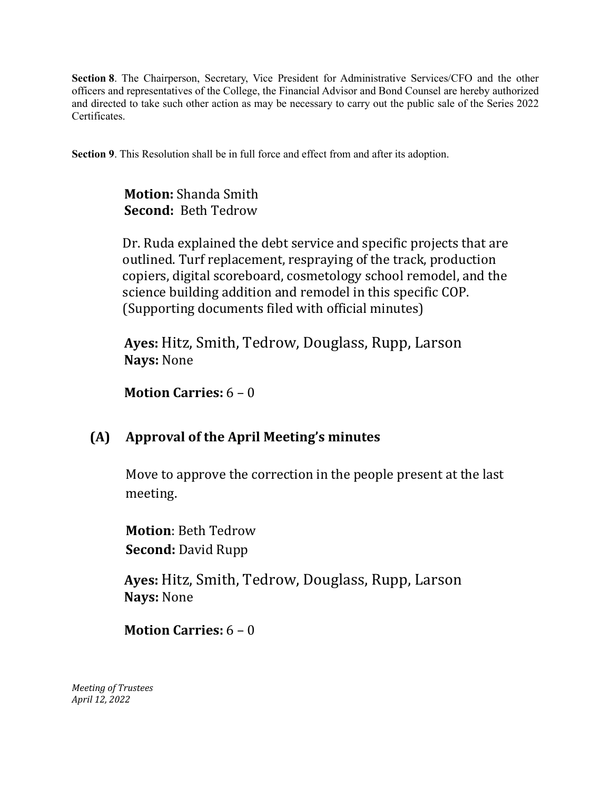**Section 8**. The Chairperson, Secretary, Vice President for Administrative Services/CFO and the other officers and representatives of the College, the Financial Advisor and Bond Counsel are hereby authorized and directed to take such other action as may be necessary to carry out the public sale of the Series 2022 Certificates.

**Section 9**. This Resolution shall be in full force and effect from and after its adoption.

 **Motion:** Shanda Smith  **Second:** Beth Tedrow

Dr. Ruda explained the debt service and specific projects that are outlined. Turf replacement, respraying of the track, production copiers, digital scoreboard, cosmetology school remodel, and the science building addition and remodel in this specific COP. (Supporting documents filed with official minutes)

 **Ayes:** Hitz, Smith, Tedrow, Douglass, Rupp, Larson  **Nays:** None

 **Motion Carries:** 6 – 0

## **(A) Approval of the April Meeting's minutes**

Move to approve the correction in the people present at the last meeting.

**Motion**: Beth Tedrow **Second:** David Rupp

 **Ayes:** Hitz, Smith, Tedrow, Douglass, Rupp, Larson  **Nays:** None

 **Motion Carries:** 6 – 0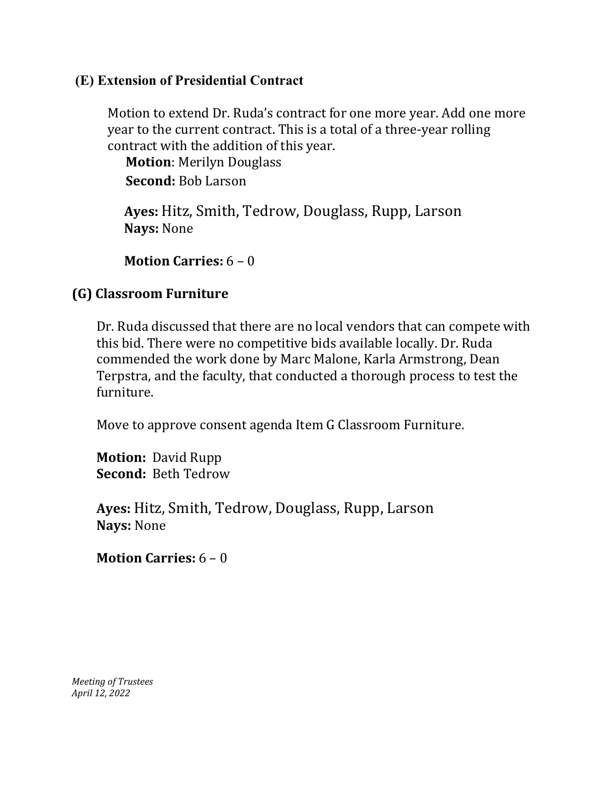### **(E) Extension of Presidential Contract**

Motion to extend Dr. Ruda's contract for one more year. Add one more year to the current contract. This is a total of a three-year rolling contract with the addition of this year.

**Motion**: Merilyn Douglass **Second:** Bob Larson

 **Ayes:** Hitz, Smith, Tedrow, Douglass, Rupp, Larson  **Nays:** None

 **Motion Carries:** 6 – 0

## **(G) Classroom Furniture**

Dr. Ruda discussed that there are no local vendors that can compete with this bid. There were no competitive bids available locally. Dr. Ruda commended the work done by Marc Malone, Karla Armstrong, Dean Terpstra, and the faculty, that conducted a thorough process to test the furniture.

Move to approve consent agenda Item G Classroom Furniture.

**Motion:** David Rupp **Second:** Beth Tedrow

**Ayes:** Hitz, Smith, Tedrow, Douglass, Rupp, Larson **Nays:** None

**Motion Carries:** 6 – 0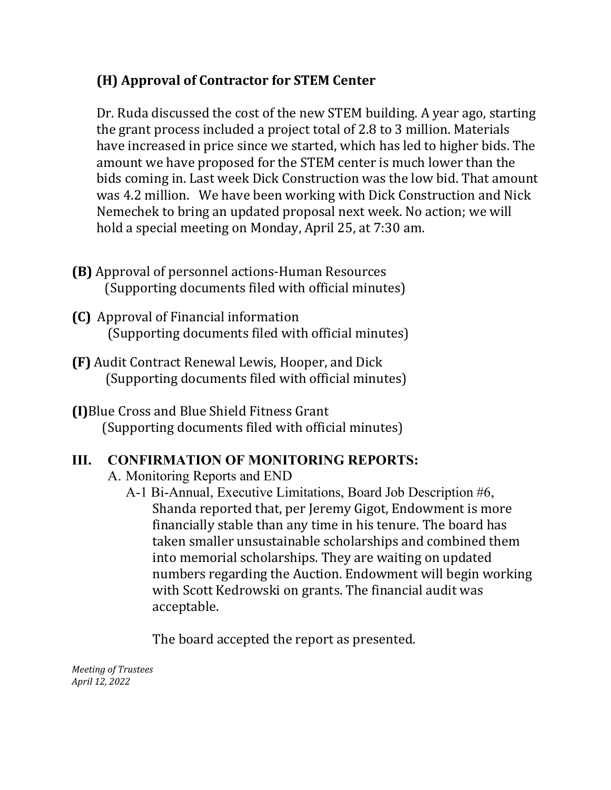## **(H) Approval of Contractor for STEM Center**

Dr. Ruda discussed the cost of the new STEM building. A year ago, starting the grant process included a project total of 2.8 to 3 million. Materials have increased in price since we started, which has led to higher bids. The amount we have proposed for the STEM center is much lower than the bids coming in. Last week Dick Construction was the low bid. That amount was 4.2 million. We have been working with Dick Construction and Nick Nemechek to bring an updated proposal next week. No action; we will hold a special meeting on Monday, April 25, at 7:30 am.

- **(B)** Approval of personnel actions-Human Resources (Supporting documents filed with official minutes)
- **(C)** Approval of Financial information (Supporting documents filed with official minutes)
- **(F)** Audit Contract Renewal Lewis, Hooper, and Dick (Supporting documents filed with official minutes)
- **(I)**Blue Cross and Blue Shield Fitness Grant (Supporting documents filed with official minutes)

## **III. CONFIRMATION OF MONITORING REPORTS:**

- A. Monitoring Reports and END
	- A-1 Bi-Annual, Executive Limitations, Board Job Description #6, Shanda reported that, per Jeremy Gigot, Endowment is more financially stable than any time in his tenure. The board has taken smaller unsustainable scholarships and combined them into memorial scholarships. They are waiting on updated numbers regarding the Auction. Endowment will begin working with Scott Kedrowski on grants. The financial audit was acceptable.

The board accepted the report as presented.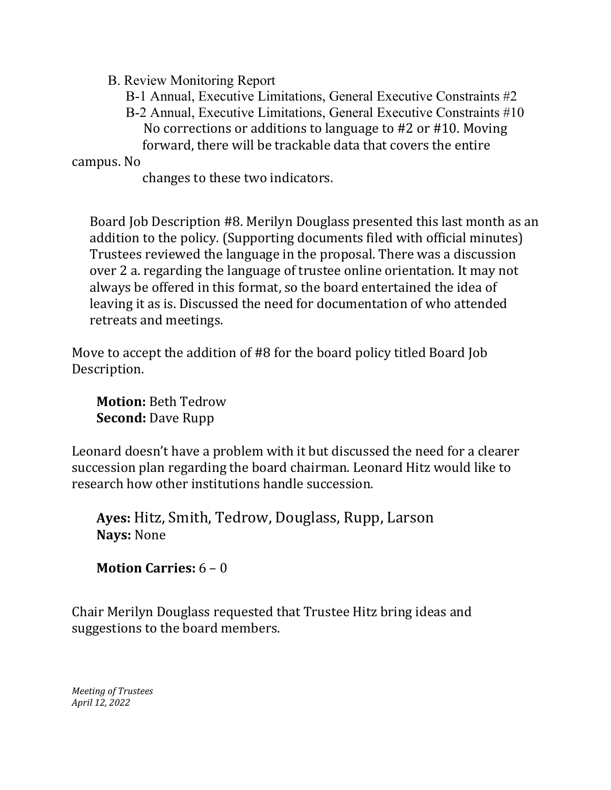- B. Review Monitoring Report
	- B-1 Annual, Executive Limitations, General Executive Constraints #2
	- B-2 Annual, Executive Limitations, General Executive Constraints #10 No corrections or additions to language to #2 or #10. Moving forward, there will be trackable data that covers the entire

### campus. No

changes to these two indicators.

Board Job Description #8. Merilyn Douglass presented this last month as an addition to the policy. (Supporting documents filed with official minutes) Trustees reviewed the language in the proposal. There was a discussion over 2 a. regarding the language of trustee online orientation. It may not always be offered in this format, so the board entertained the idea of leaving it as is. Discussed the need for documentation of who attended retreats and meetings.

Move to accept the addition of #8 for the board policy titled Board Job Description.

 **Motion:** Beth Tedrow  **Second:** Dave Rupp

Leonard doesn't have a problem with it but discussed the need for a clearer succession plan regarding the board chairman. Leonard Hitz would like to research how other institutions handle succession.

**Ayes:** Hitz, Smith, Tedrow, Douglass, Rupp, Larson **Nays:** None

## **Motion Carries:** 6 – 0

Chair Merilyn Douglass requested that Trustee Hitz bring ideas and suggestions to the board members.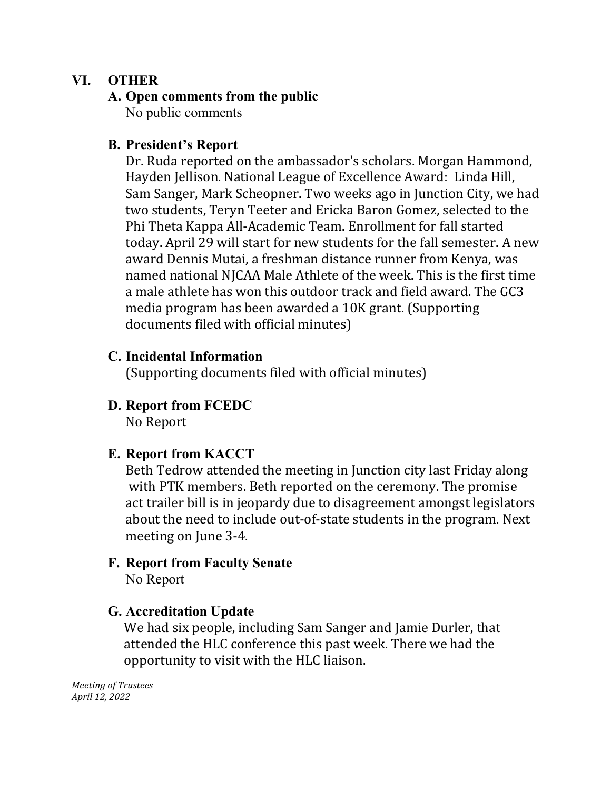## **VI. OTHER**

## **A. Open comments from the public**

No public comments

## **B. President's Report**

Dr. Ruda reported on the ambassador's scholars. Morgan Hammond, Hayden Jellison. National League of Excellence Award: Linda Hill, Sam Sanger, Mark Scheopner. Two weeks ago in Junction City, we had two students, Teryn Teeter and Ericka Baron Gomez, selected to the Phi Theta Kappa All-Academic Team. Enrollment for fall started today. April 29 will start for new students for the fall semester. A new award Dennis Mutai, a freshman distance runner from Kenya, was named national NJCAA Male Athlete of the week. This is the first time a male athlete has won this outdoor track and field award. The GC3 media program has been awarded a 10K grant. (Supporting documents filed with official minutes)

## **C. Incidental Information**

(Supporting documents filed with official minutes)

# **D. Report from FCEDC**

No Report

## **E. Report from KACCT**

Beth Tedrow attended the meeting in Junction city last Friday along with PTK members. Beth reported on the ceremony. The promise act trailer bill is in jeopardy due to disagreement amongst legislators about the need to include out-of-state students in the program. Next meeting on June 3-4.

#### **F. Report from Faculty Senate** No Report

## **G. Accreditation Update**

We had six people, including Sam Sanger and Jamie Durler, that attended the HLC conference this past week. There we had the opportunity to visit with the HLC liaison.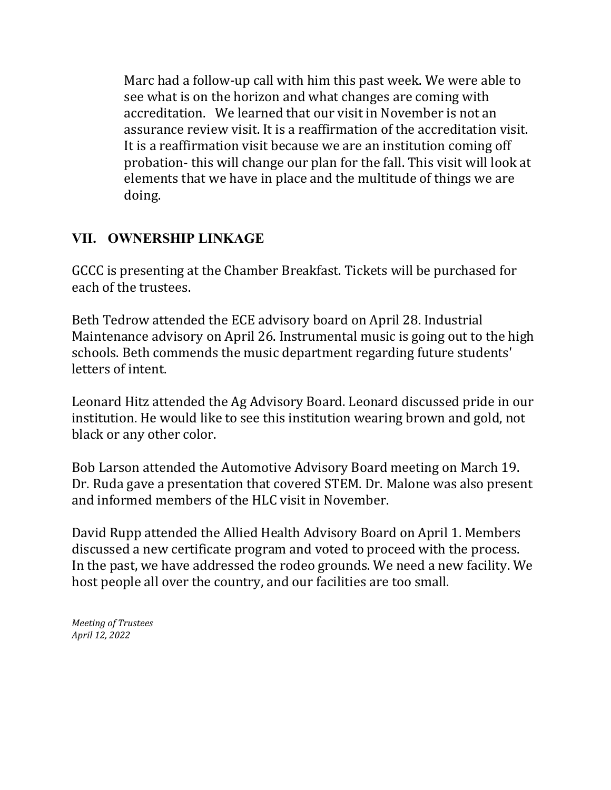Marc had a follow-up call with him this past week. We were able to see what is on the horizon and what changes are coming with accreditation. We learned that our visit in November is not an assurance review visit. It is a reaffirmation of the accreditation visit. It is a reaffirmation visit because we are an institution coming off probation- this will change our plan for the fall. This visit will look at elements that we have in place and the multitude of things we are doing.

## **VII. OWNERSHIP LINKAGE**

GCCC is presenting at the Chamber Breakfast. Tickets will be purchased for each of the trustees.

Beth Tedrow attended the ECE advisory board on April 28. Industrial Maintenance advisory on April 26. Instrumental music is going out to the high schools. Beth commends the music department regarding future students' letters of intent.

Leonard Hitz attended the Ag Advisory Board. Leonard discussed pride in our institution. He would like to see this institution wearing brown and gold, not black or any other color.

Bob Larson attended the Automotive Advisory Board meeting on March 19. Dr. Ruda gave a presentation that covered STEM. Dr. Malone was also present and informed members of the HLC visit in November.

David Rupp attended the Allied Health Advisory Board on April 1. Members discussed a new certificate program and voted to proceed with the process. In the past, we have addressed the rodeo grounds. We need a new facility. We host people all over the country, and our facilities are too small.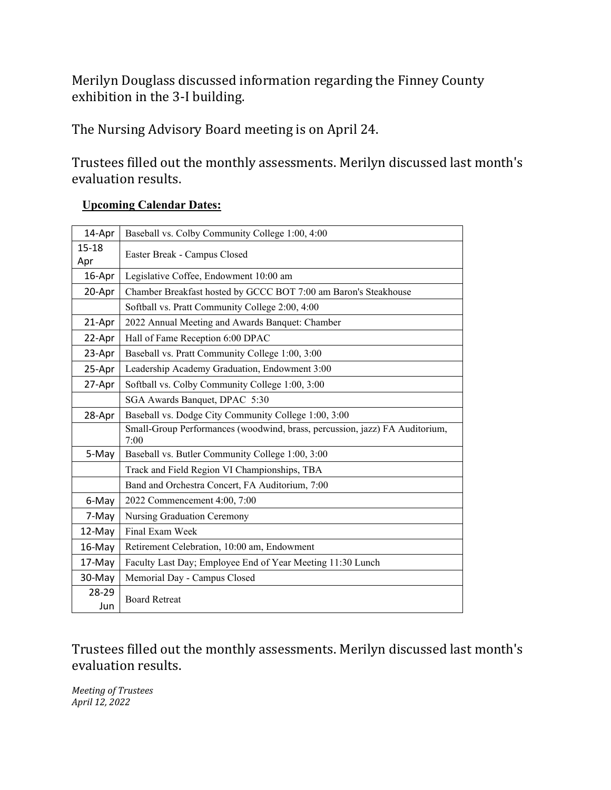Merilyn Douglass discussed information regarding the Finney County exhibition in the 3-I building.

The Nursing Advisory Board meeting is on April 24.

Trustees filled out the monthly assessments. Merilyn discussed last month's evaluation results.

#### **Upcoming Calendar Dates:**

| 14-Apr           | Baseball vs. Colby Community College 1:00, 4:00                                     |
|------------------|-------------------------------------------------------------------------------------|
| $15 - 18$<br>Apr | Easter Break - Campus Closed                                                        |
| 16-Apr           | Legislative Coffee, Endowment 10:00 am                                              |
| 20-Apr           | Chamber Breakfast hosted by GCCC BOT 7:00 am Baron's Steakhouse                     |
|                  | Softball vs. Pratt Community College 2:00, 4:00                                     |
| 21-Apr           | 2022 Annual Meeting and Awards Banquet: Chamber                                     |
| 22-Apr           | Hall of Fame Reception 6:00 DPAC                                                    |
| 23-Apr           | Baseball vs. Pratt Community College 1:00, 3:00                                     |
| 25-Apr           | Leadership Academy Graduation, Endowment 3:00                                       |
| 27-Apr           | Softball vs. Colby Community College 1:00, 3:00                                     |
|                  | SGA Awards Banquet, DPAC 5:30                                                       |
| 28-Apr           | Baseball vs. Dodge City Community College 1:00, 3:00                                |
|                  | Small-Group Performances (woodwind, brass, percussion, jazz) FA Auditorium,<br>7:00 |
| 5-May            | Baseball vs. Butler Community College 1:00, 3:00                                    |
|                  | Track and Field Region VI Championships, TBA                                        |
|                  | Band and Orchestra Concert, FA Auditorium, 7:00                                     |
| 6-May            | 2022 Commencement 4:00, 7:00                                                        |
| 7-May            | Nursing Graduation Ceremony                                                         |
| 12-May           | Final Exam Week                                                                     |
| 16-May           | Retirement Celebration, 10:00 am, Endowment                                         |
| 17-May           | Faculty Last Day; Employee End of Year Meeting 11:30 Lunch                          |
| 30-May           | Memorial Day - Campus Closed                                                        |
| 28-29            | <b>Board Retreat</b>                                                                |
| Jun              |                                                                                     |

Trustees filled out the monthly assessments. Merilyn discussed last month's evaluation results.